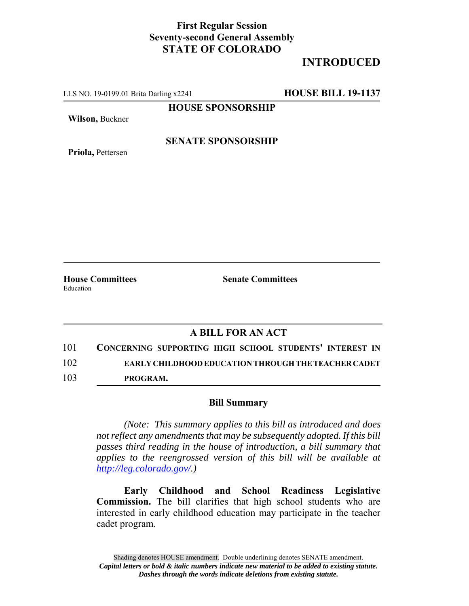## **First Regular Session Seventy-second General Assembly STATE OF COLORADO**

# **INTRODUCED**

LLS NO. 19-0199.01 Brita Darling x2241 **HOUSE BILL 19-1137**

**HOUSE SPONSORSHIP**

**Wilson,** Buckner

**Priola,** Pettersen

#### **SENATE SPONSORSHIP**

Education

**House Committees Senate Committees**

### **A BILL FOR AN ACT**

101 **CONCERNING SUPPORTING HIGH SCHOOL STUDENTS' INTEREST IN** 102 **EARLY CHILDHOOD EDUCATION THROUGH THE TEACHER CADET**

103 **PROGRAM.**

#### **Bill Summary**

*(Note: This summary applies to this bill as introduced and does not reflect any amendments that may be subsequently adopted. If this bill passes third reading in the house of introduction, a bill summary that applies to the reengrossed version of this bill will be available at http://leg.colorado.gov/.)*

**Early Childhood and School Readiness Legislative Commission.** The bill clarifies that high school students who are interested in early childhood education may participate in the teacher cadet program.